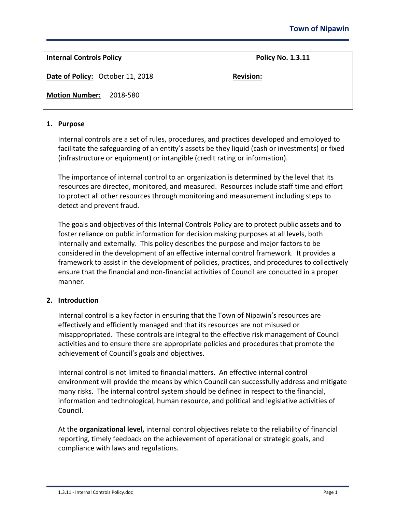**Internal Controls Policy**  Policy **Policy Route Policy No. 1.3.11** 

**Date of Policy:** October 11, 2018 **Revision:**

**Motion Number:** 2018-580

## **1. Purpose**

Internal controls are a set of rules, procedures, and practices developed and employed to facilitate the safeguarding of an entity's assets be they liquid (cash or investments) or fixed (infrastructure or equipment) or intangible (credit rating or information).

The importance of internal control to an organization is determined by the level that its resources are directed, monitored, and measured. Resources include staff time and effort to protect all other resources through monitoring and measurement including steps to detect and prevent fraud.

The goals and objectives of this Internal Controls Policy are to protect public assets and to foster reliance on public information for decision making purposes at all levels, both internally and externally. This policy describes the purpose and major factors to be considered in the development of an effective internal control framework. It provides a framework to assist in the development of policies, practices, and procedures to collectively ensure that the financial and non-financial activities of Council are conducted in a proper manner.

# **2. Introduction**

Internal control is a key factor in ensuring that the Town of Nipawin's resources are effectively and efficiently managed and that its resources are not misused or misappropriated. These controls are integral to the effective risk management of Council activities and to ensure there are appropriate policies and procedures that promote the achievement of Council's goals and objectives.

Internal control is not limited to financial matters. An effective internal control environment will provide the means by which Council can successfully address and mitigate many risks. The internal control system should be defined in respect to the financial, information and technological, human resource, and political and legislative activities of Council.

At the **organizational level,** internal control objectives relate to the reliability of financial reporting, timely feedback on the achievement of operational or strategic goals, and compliance with laws and regulations.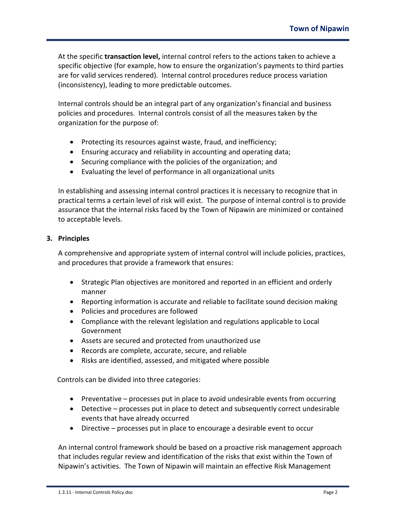At the specific **transaction level,** internal control refers to the actions taken to achieve a specific objective (for example, how to ensure the organization's payments to third parties are for valid services rendered). Internal control procedures reduce process variation (inconsistency), leading to more predictable outcomes.

Internal controls should be an integral part of any organization's financial and business policies and procedures. Internal controls consist of all the measures taken by the organization for the purpose of:

- Protecting its resources against waste, fraud, and inefficiency;
- Ensuring accuracy and reliability in accounting and operating data;
- Securing compliance with the policies of the organization; and
- Evaluating the level of performance in all organizational units

In establishing and assessing internal control practices it is necessary to recognize that in practical terms a certain level of risk will exist. The purpose of internal control is to provide assurance that the internal risks faced by the Town of Nipawin are minimized or contained to acceptable levels.

# **3. Principles**

A comprehensive and appropriate system of internal control will include policies, practices, and procedures that provide a framework that ensures:

- Strategic Plan objectives are monitored and reported in an efficient and orderly manner
- Reporting information is accurate and reliable to facilitate sound decision making
- Policies and procedures are followed
- Compliance with the relevant legislation and regulations applicable to Local Government
- Assets are secured and protected from unauthorized use
- Records are complete, accurate, secure, and reliable
- Risks are identified, assessed, and mitigated where possible

Controls can be divided into three categories:

- Preventative processes put in place to avoid undesirable events from occurring
- Detective processes put in place to detect and subsequently correct undesirable events that have already occurred
- Directive processes put in place to encourage a desirable event to occur

An internal control framework should be based on a proactive risk management approach that includes regular review and identification of the risks that exist within the Town of Nipawin's activities. The Town of Nipawin will maintain an effective Risk Management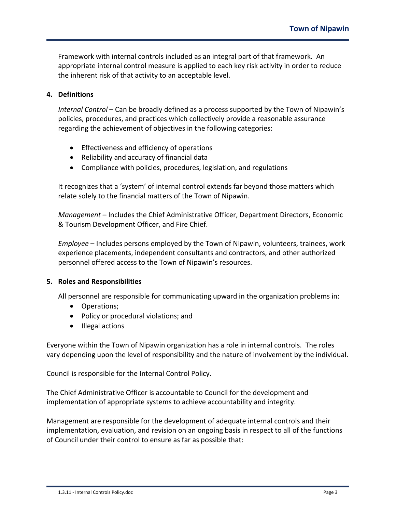Framework with internal controls included as an integral part of that framework. An appropriate internal control measure is applied to each key risk activity in order to reduce the inherent risk of that activity to an acceptable level.

## **4. Definitions**

*Internal Control* – Can be broadly defined as a process supported by the Town of Nipawin's policies, procedures, and practices which collectively provide a reasonable assurance regarding the achievement of objectives in the following categories:

- Effectiveness and efficiency of operations
- Reliability and accuracy of financial data
- Compliance with policies, procedures, legislation, and regulations

It recognizes that a 'system' of internal control extends far beyond those matters which relate solely to the financial matters of the Town of Nipawin.

*Management* – Includes the Chief Administrative Officer, Department Directors, Economic & Tourism Development Officer, and Fire Chief.

*Employee* – Includes persons employed by the Town of Nipawin, volunteers, trainees, work experience placements, independent consultants and contractors, and other authorized personnel offered access to the Town of Nipawin's resources.

## **5. Roles and Responsibilities**

All personnel are responsible for communicating upward in the organization problems in:

- Operations;
- Policy or procedural violations; and
- Illegal actions

Everyone within the Town of Nipawin organization has a role in internal controls. The roles vary depending upon the level of responsibility and the nature of involvement by the individual.

Council is responsible for the Internal Control Policy.

The Chief Administrative Officer is accountable to Council for the development and implementation of appropriate systems to achieve accountability and integrity.

Management are responsible for the development of adequate internal controls and their implementation, evaluation, and revision on an ongoing basis in respect to all of the functions of Council under their control to ensure as far as possible that: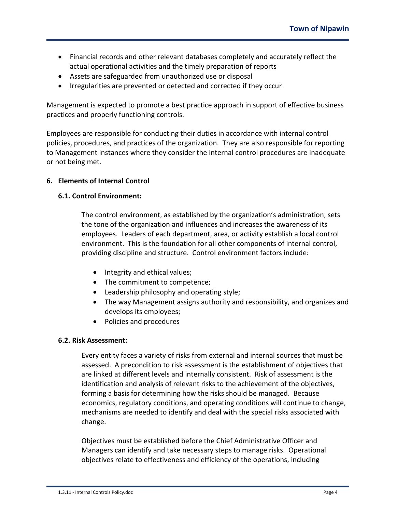- Financial records and other relevant databases completely and accurately reflect the actual operational activities and the timely preparation of reports
- Assets are safeguarded from unauthorized use or disposal
- Irregularities are prevented or detected and corrected if they occur

Management is expected to promote a best practice approach in support of effective business practices and properly functioning controls.

Employees are responsible for conducting their duties in accordance with internal control policies, procedures, and practices of the organization. They are also responsible for reporting to Management instances where they consider the internal control procedures are inadequate or not being met.

## **6. Elements of Internal Control**

## **6.1. Control Environment:**

The control environment, as established by the organization's administration, sets the tone of the organization and influences and increases the awareness of its employees. Leaders of each department, area, or activity establish a local control environment. This is the foundation for all other components of internal control, providing discipline and structure. Control environment factors include:

- Integrity and ethical values;
- The commitment to competence;
- Leadership philosophy and operating style;
- The way Management assigns authority and responsibility, and organizes and develops its employees;
- Policies and procedures

# **6.2. Risk Assessment:**

Every entity faces a variety of risks from external and internal sources that must be assessed. A precondition to risk assessment is the establishment of objectives that are linked at different levels and internally consistent. Risk of assessment is the identification and analysis of relevant risks to the achievement of the objectives, forming a basis for determining how the risks should be managed. Because economics, regulatory conditions, and operating conditions will continue to change, mechanisms are needed to identify and deal with the special risks associated with change.

Objectives must be established before the Chief Administrative Officer and Managers can identify and take necessary steps to manage risks. Operational objectives relate to effectiveness and efficiency of the operations, including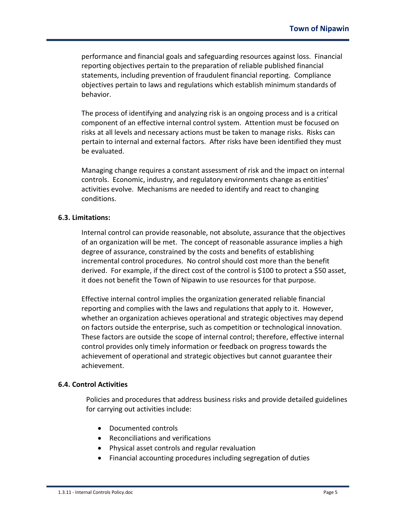performance and financial goals and safeguarding resources against loss. Financial reporting objectives pertain to the preparation of reliable published financial statements, including prevention of fraudulent financial reporting. Compliance objectives pertain to laws and regulations which establish minimum standards of behavior.

The process of identifying and analyzing risk is an ongoing process and is a critical component of an effective internal control system. Attention must be focused on risks at all levels and necessary actions must be taken to manage risks. Risks can pertain to internal and external factors. After risks have been identified they must be evaluated.

Managing change requires a constant assessment of risk and the impact on internal controls. Economic, industry, and regulatory environments change as entities' activities evolve. Mechanisms are needed to identify and react to changing conditions.

## **6.3. Limitations:**

Internal control can provide reasonable, not absolute, assurance that the objectives of an organization will be met. The concept of reasonable assurance implies a high degree of assurance, constrained by the costs and benefits of establishing incremental control procedures. No control should cost more than the benefit derived. For example, if the direct cost of the control is \$100 to protect a \$50 asset, it does not benefit the Town of Nipawin to use resources for that purpose.

Effective internal control implies the organization generated reliable financial reporting and complies with the laws and regulations that apply to it. However, whether an organization achieves operational and strategic objectives may depend on factors outside the enterprise, such as competition or technological innovation. These factors are outside the scope of internal control; therefore, effective internal control provides only timely information or feedback on progress towards the achievement of operational and strategic objectives but cannot guarantee their achievement.

#### **6.4. Control Activities**

Policies and procedures that address business risks and provide detailed guidelines for carrying out activities include:

- Documented controls
- Reconciliations and verifications
- Physical asset controls and regular revaluation
- Financial accounting procedures including segregation of duties